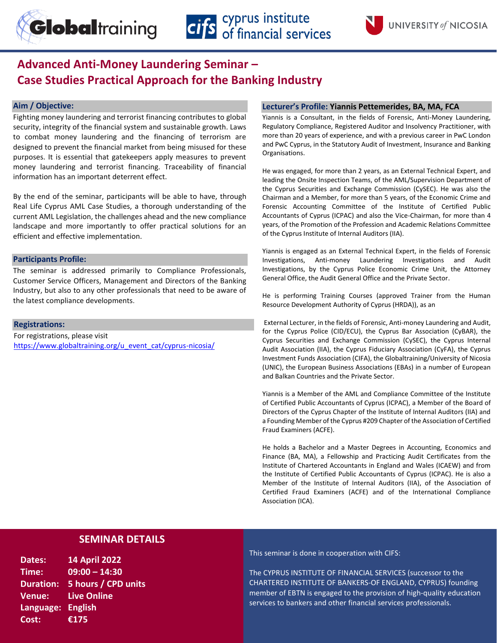

# **Advanced Anti-Money Laundering Seminar – Case Studies Practical Approach for the Banking Industry**

## **Aim / Objective:**

Fighting money laundering and terrorist financing contributes to global security, integrity of the financial system and sustainable growth. Laws to combat money laundering and the financing of terrorism are designed to prevent the financial market from being misused for these purposes. It is essential that gatekeepers apply measures to prevent money laundering and terrorist financing. Traceability of financial information has an important deterrent effect.

By the end of the seminar, participants will be able to have, through Real Life Cyprus AML Case Studies, a thorough understanding of the current AML Legislation, the challenges ahead and the new compliance landscape and more importantly to offer practical solutions for an efficient and effective implementation.

### **Participants Profile:**

The seminar is addressed primarily to Compliance Professionals, Customer Service Officers, Management and Directors of the Banking Industry, but also to any other professionals that need to be aware of the latest compliance developments.

### **Registrations:**

For registrations, please visit [https://www.globaltraining.org/u\\_event\\_cat/cyprus-nicosia/](https://www.globaltraining.org/u_event_cat/cyprus-nicosia/)

### **Lecturer's Profile: Yiannis Pettemerides, BA, MA, FCA**

Yiannis is a Consultant, in the fields of Forensic, Anti-Money Laundering, Regulatory Compliance, Registered Auditor and Insolvency Practitioner, with more than 20 years of experience, and with a previous career in PwC London and PwC Cyprus, in the Statutory Audit of Investment, Insurance and Banking Organisations.

He was engaged, for more than 2 years, as an External Technical Expert, and leading the Onsite Inspection Teams, of the AML/Supervision Department of the Cyprus Securities and Exchange Commission (CySEC). He was also the Chairman and a Member, for more than 5 years, of the Economic Crime and Forensic Accounting Committee of the Institute of Certified Public Accountants of Cyprus (ICPAC) and also the Vice-Chairman, for more than 4 years, of the Promotion of the Profession and Academic Relations Committee of the Cyprus Institute of Internal Auditors (IIA).

Yiannis is engaged as an External Technical Expert, in the fields of Forensic Investigations, Anti-money Laundering Investigations and Audit Investigations, by the Cyprus Police Economic Crime Unit, the Attorney General Office, the Audit General Office and the Private Sector.

He is performing Training Courses (approved Trainer from the Human Resource Development Authority of Cyprus (HRDA)), as an

External Lecturer, in the fields of Forensic, Anti-money Laundering and Audit, for the Cyprus Police (CID/ECU), the Cyprus Bar Association (CyBAR), the Cyprus Securities and Exchange Commission (CySEC), the Cyprus Internal Audit Association (IIA), the Cyprus Fiduciary Association (CyFA), the Cyprus Investment Funds Association (CIFA), the Globaltraining/University of Nicosia (UNIC), the European Business Associations (EBAs) in a number of European and Balkan Countries and the Private Sector.

Yiannis is a Member of the AML and Compliance Committee of the Institute of Certified Public Accountants of Cyprus (ICPAC), a Member of the Board of Directors of the Cyprus Chapter of the Institute of Internal Auditors (IIA) and a Founding Member of the Cyprus #209 Chapter of the Association of Certified Fraud Examiners (ACFE).

He holds a Bachelor and a Master Degrees in Accounting, Economics and Finance (BA, MA), a Fellowship and Practicing Audit Certificates from the Institute of Chartered Accountants in England and Wales (ICAEW) and from the Institute of Certified Public Accountants of Cyprus (ICPAC). He is also a Member of the Institute of Internal Auditors (IIA), of the Association of Certified Fraud Examiners (ACFE) and of the International Compliance Association (ICA).

# **SEMINAR DETAILS**

**Dates: 14 April 2022 Time: 09:00 – 14:30 Duration: 5 hours / CPD units Venue: Live Online Language: English Cost: €175**

This seminar is done in cooperation with CIFS:

The CYPRUS INSTITUTE OF FINANCIAL SERVICES (successor to the CHARTERED INSTITUTE OF BANKERS-OF ENGLAND, CYPRUS) founding member of EBTN is engaged to the provision of high-quality education services to bankers and other financial services professionals.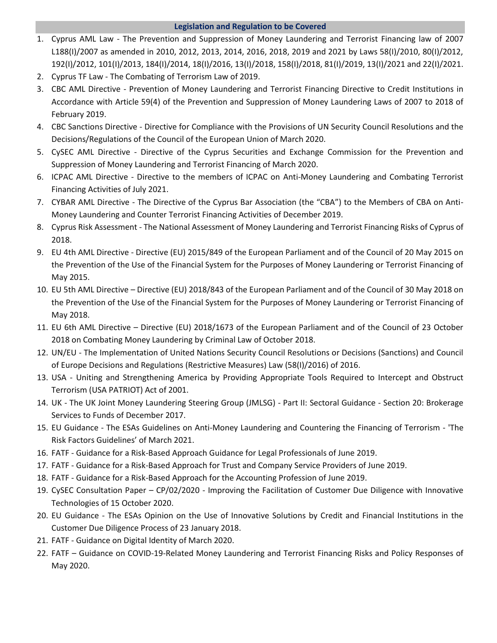# **Legislation and Regulation to be Covered**

- 1. Cyprus AML Law The Prevention and Suppression of Money Laundering and Terrorist Financing law of 2007 L188(I)/2007 as amended in 2010, 2012, 2013, 2014, 2016, 2018, 2019 and 2021 by Laws 58(I)/2010, 80(I)/2012, 192(I)/2012, 101(I)/2013, 184(I)/2014, 18(I)/2016, 13(I)/2018, 158(I)/2018, 81(I)/2019, 13(I)/2021 and 22(I)/2021.
- 2. Cyprus TF Law The Combating of Terrorism Law of 2019.
- 3. CBC AML Directive Prevention of Money Laundering and Terrorist Financing Directive to Credit Institutions in Accordance with Article 59(4) of the Prevention and Suppression of Money Laundering Laws of 2007 to 2018 of February 2019.
- 4. CBC Sanctions Directive Directive for Compliance with the Provisions of UN Security Council Resolutions and the Decisions/Regulations of the Council of the European Union of March 2020.
- 5. CySEC AML Directive Directive of the Cyprus Securities and Exchange Commission for the Prevention and Suppression of Money Laundering and Terrorist Financing of March 2020.
- 6. ICPAC AML Directive Directive to the members of ICPAC on Anti-Money Laundering and Combating Terrorist Financing Activities of July 2021.
- 7. CYBAR AML Directive The Directive of the Cyprus Bar Association (the "CBA") to the Members of CBA on Anti-Money Laundering and Counter Terrorist Financing Activities of December 2019.
- 8. Cyprus Risk Assessment The National Assessment of Money Laundering and Terrorist Financing Risks of Cyprus of 2018.
- 9. EU 4th AML Directive Directive (EU) 2015/849 of the European Parliament and of the Council of 20 May 2015 on the Prevention of the Use of the Financial System for the Purposes of Money Laundering or Terrorist Financing of May 2015.
- 10. EU 5th AML Directive Directive (EU) 2018/843 of the European Parliament and of the Council of 30 May 2018 on the Prevention of the Use of the Financial System for the Purposes of Money Laundering or Terrorist Financing of May 2018.
- 11. EU 6th AML Directive Directive (EU) 2018/1673 of the European Parliament and of the Council of 23 October 2018 on Combating Money Laundering by Criminal Law of October 2018.
- 12. UN/EU The Implementation of United Nations Security Council Resolutions or Decisions (Sanctions) and Council of Europe Decisions and Regulations (Restrictive Measures) Law (58(I)/2016) of 2016.
- 13. USA Uniting and Strengthening America by Providing Appropriate Tools Required to Intercept and Obstruct Terrorism (USA PATRIOT) Act of 2001.
- 14. UK The UK Joint Money Laundering Steering Group (JMLSG) Part II: Sectoral Guidance Section 20: Brokerage Services to Funds of December 2017.
- 15. EU Guidance The ESAs Guidelines on Anti-Money Laundering and Countering the Financing of Terrorism 'The Risk Factors Guidelines' of March 2021.
- 16. FATF Guidance for a Risk-Based Approach Guidance for Legal Professionals of June 2019.
- 17. FATF Guidance for a Risk-Based Approach for Trust and Company Service Providers of June 2019.
- 18. FATF Guidance for a Risk-Based Approach for the Accounting Profession of June 2019.
- 19. CySEC Consultation Paper CP/02/2020 Improving the Facilitation of Customer Due Diligence with Innovative Technologies of 15 October 2020.
- 20. EU Guidance The ESAs Opinion on the Use of Innovative Solutions by Credit and Financial Institutions in the Customer Due Diligence Process of 23 January 2018.
- 21. FATF Guidance on Digital Identity of March 2020.
- 22. FATF Guidance on COVID-19-Related Money Laundering and Terrorist Financing Risks and Policy Responses of May 2020.